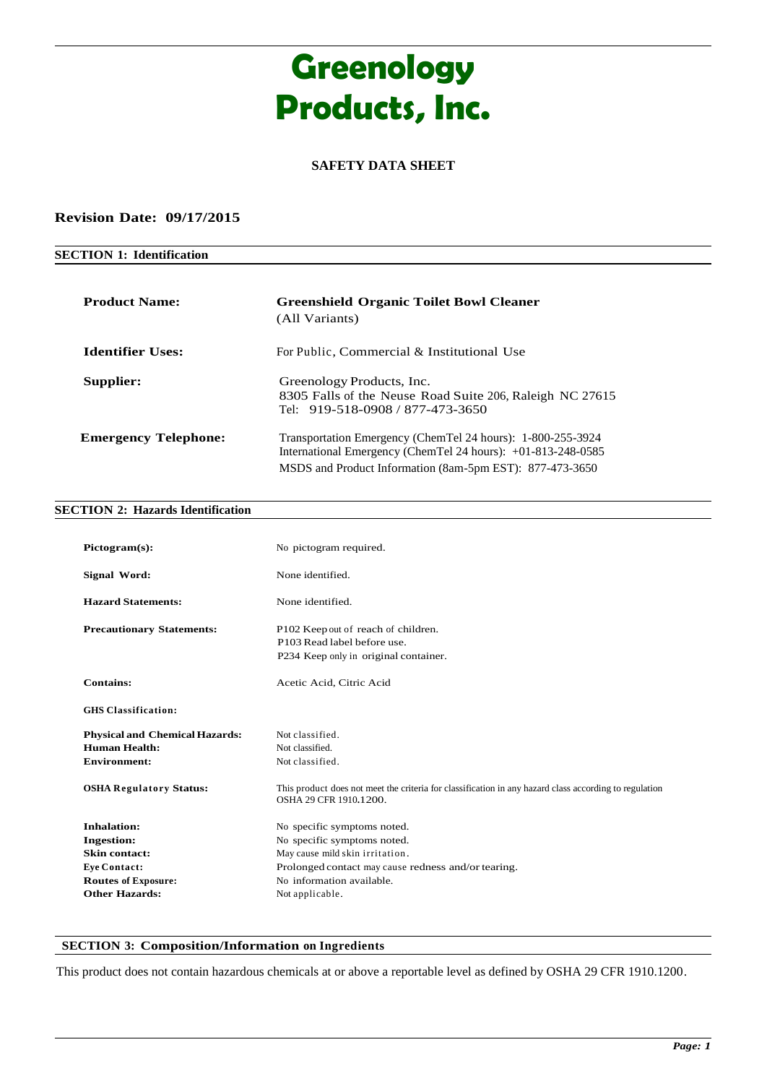# **Greenology Products, Inc.**

## **SAFETY DATA SHEET**

#### **Revision Date: 09/17/2015**

### **SECTION 1: Identification**

| <b>Product Name:</b>        | <b>Greenshield Organic Toilet Bowl Cleaner</b><br>(All Variants)                                                              |
|-----------------------------|-------------------------------------------------------------------------------------------------------------------------------|
| <b>Identifier Uses:</b>     | For Public, Commercial & Institutional Use                                                                                    |
| Supplier:                   | Greenology Products, Inc.<br>8305 Falls of the Neuse Road Suite 206, Raleigh NC 27615<br>Tel: 919-518-0908 / 877-473-3650     |
| <b>Emergency Telephone:</b> | Transportation Emergency (ChemTel 24 hours): 1-800-255-3924<br>International Emergency (ChemTel 24 hours): $+01-813-248-0585$ |
|                             | MSDS and Product Information (8am-5pm EST): 877-473-3650                                                                      |

#### **SECTION 2: Hazards Identification**

| Pictogram(s):                                                                                                                          | No pictogram required.                                                                                                                                                                               |
|----------------------------------------------------------------------------------------------------------------------------------------|------------------------------------------------------------------------------------------------------------------------------------------------------------------------------------------------------|
| Signal Word:                                                                                                                           | None identified                                                                                                                                                                                      |
| <b>Hazard Statements:</b>                                                                                                              | None identified.                                                                                                                                                                                     |
| <b>Precautionary Statements:</b>                                                                                                       | P102 Keep out of reach of children.<br>P103 Read label before use.<br>P234 Keep only in original container.                                                                                          |
| <b>Contains:</b>                                                                                                                       | Acetic Acid, Citric Acid                                                                                                                                                                             |
| <b>GHS Classification:</b>                                                                                                             |                                                                                                                                                                                                      |
| <b>Physical and Chemical Hazards:</b><br><b>Human Health:</b><br><b>Environment:</b><br><b>OSHA Regulatory Status:</b>                 | Not classified.<br>Not classified.<br>Not classified.<br>This product does not meet the criteria for classification in any hazard class according to regulation<br>OSHA 29 CFR 1910.1200.            |
| Inhalation:<br><b>Ingestion:</b><br><b>Skin contact:</b><br><b>Eye Contact:</b><br><b>Routes of Exposure:</b><br><b>Other Hazards:</b> | No specific symptoms noted.<br>No specific symptoms noted.<br>May cause mild skin irritation.<br>Prolonged contact may cause redness and/or tearing.<br>No information available.<br>Not applicable. |

#### **SECTION 3: Composition/Information on Ingredients**

This product does not contain hazardous chemicals at or above a reportable level as defined by OSHA 29 CFR 1910.1200.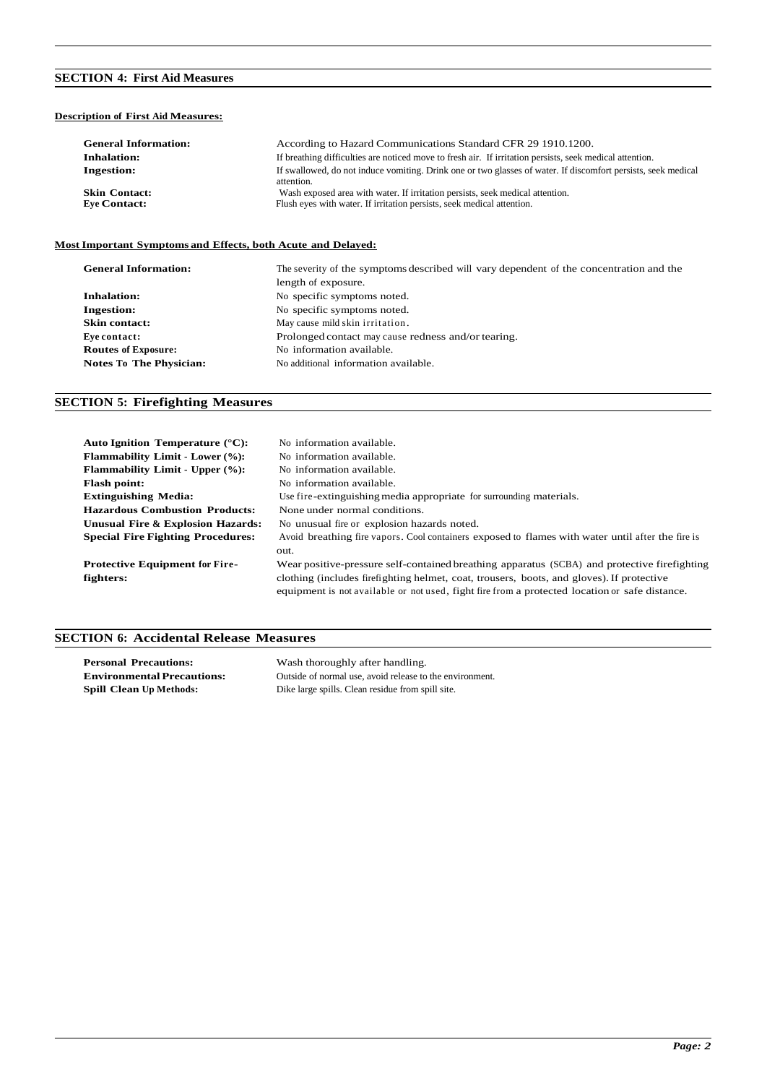## **SECTION 4: First Aid Measures**

#### **Description of First Aid Measures:**

| <b>General Information:</b> | According to Hazard Communications Standard CFR 29 1910.1200.                                                               |
|-----------------------------|-----------------------------------------------------------------------------------------------------------------------------|
| <b>Inhalation:</b>          | If breathing difficulties are noticed move to fresh air. If irritation persists, seek medical attention.                    |
| <b>Ingestion:</b>           | If swallowed, do not induce vomiting. Drink one or two glasses of water. If discomfort persists, seek medical<br>attention. |
| <b>Skin Contact:</b>        | Wash exposed area with water. If irritation persists, seek medical attention.                                               |
| <b>Eve Contact:</b>         | Flush eyes with water. If irritation persists, seek medical attention.                                                      |

#### **MostImportant Symptoms and Effects, both Acute and Delayed:**

| <b>General Information:</b>    | The severity of the symptoms described will vary dependent of the concentration and the |  |
|--------------------------------|-----------------------------------------------------------------------------------------|--|
|                                | length of exposure.                                                                     |  |
| <b>Inhalation:</b>             | No specific symptoms noted.                                                             |  |
| <b>Ingestion:</b>              | No specific symptoms noted.                                                             |  |
| <b>Skin contact:</b>           | May cause mild skin irritation.                                                         |  |
| Eve contact:                   | Prolonged contact may cause redness and/or tearing.                                     |  |
| <b>Routes of Exposure:</b>     | No information available.                                                               |  |
| <b>Notes To The Physician:</b> | No additional information available.                                                    |  |

## **SECTION 5: Firefighting Measures**

| Auto Ignition Temperature $(^{\circ}C)$ : | No information available.                                                                         |
|-------------------------------------------|---------------------------------------------------------------------------------------------------|
| <b>Flammability Limit - Lower (%):</b>    | No information available.                                                                         |
| <b>Flammability Limit - Upper (%):</b>    | No information available.                                                                         |
| <b>Flash point:</b>                       | No information available.                                                                         |
| <b>Extinguishing Media:</b>               | Use fire-extinguishing media appropriate for surrounding materials.                               |
| <b>Hazardous Combustion Products:</b>     | None under normal conditions.                                                                     |
| Unusual Fire & Explosion Hazards:         | No unusual fire or explosion hazards noted.                                                       |
| <b>Special Fire Fighting Procedures:</b>  | Avoid breathing fire vapors. Cool containers exposed to flames with water until after the fire is |
|                                           | out.                                                                                              |
| <b>Protective Equipment for Fire-</b>     | Wear positive-pressure self-contained breathing apparatus (SCBA) and protective firefighting      |
| fighters:                                 | clothing (includes firefighting helmet, coat, trousers, boots, and gloves). If protective         |
|                                           | equipment is not available or not used, fight fire from a protected location or safe distance.    |
|                                           |                                                                                                   |

## **SECTION 6: Accidental Release Measures**

| <b>Personal Precautions:</b>      | Wash thoroughly after handling.                          |
|-----------------------------------|----------------------------------------------------------|
| <b>Environmental Precautions:</b> | Outside of normal use, avoid release to the environment. |
| <b>Spill Clean Up Methods:</b>    | Dike large spills. Clean residue from spill site.        |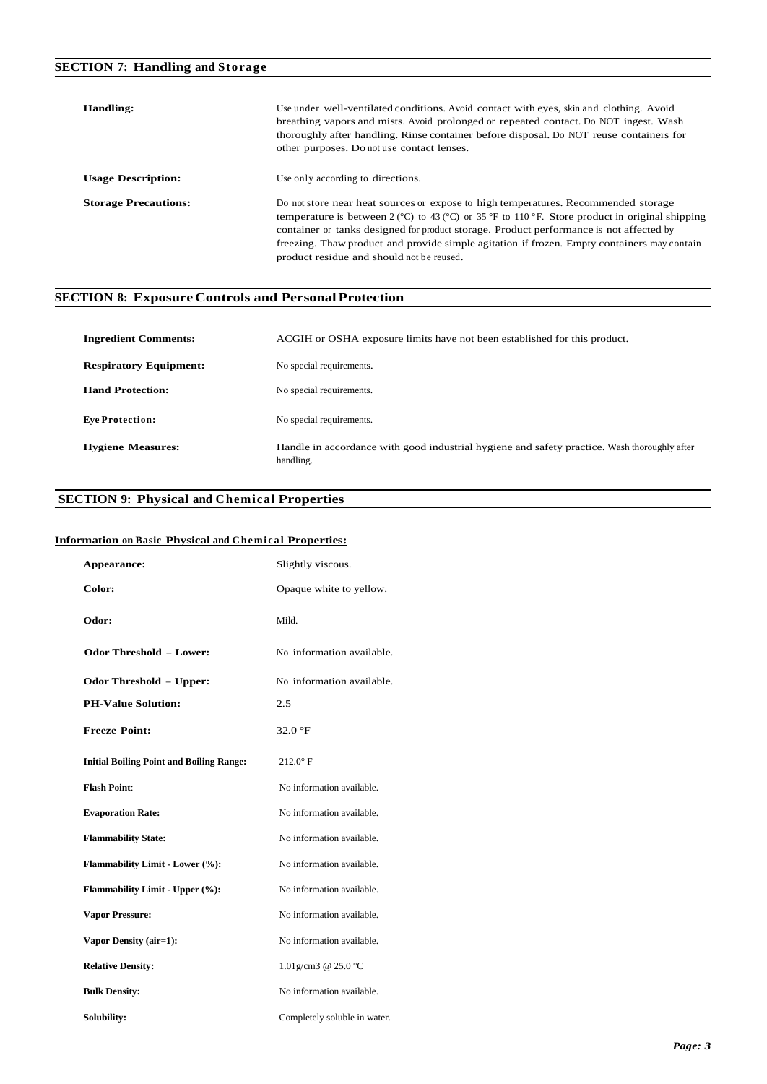# **SECTION 7: Handling and Storage**

| Handling:                   | Use under well-ventilated conditions. Avoid contact with eyes, skin and clothing. Avoid<br>breathing vapors and mists. Avoid prolonged or repeated contact. Do NOT ingest. Wash<br>thoroughly after handling. Rinse container before disposal. Do NOT reuse containers for<br>other purposes. Do not use contact lenses.                                                                                                                                           |
|-----------------------------|--------------------------------------------------------------------------------------------------------------------------------------------------------------------------------------------------------------------------------------------------------------------------------------------------------------------------------------------------------------------------------------------------------------------------------------------------------------------|
| <b>Usage Description:</b>   | Use only according to directions.                                                                                                                                                                                                                                                                                                                                                                                                                                  |
| <b>Storage Precautions:</b> | Do not store near heat sources or expose to high temperatures. Recommended storage<br>temperature is between 2 ( $\degree$ C) to 43 ( $\degree$ C) or 35 $\degree$ F to 110 $\degree$ F. Store product in original shipping<br>container or tanks designed for product storage. Product performance is not affected by<br>freezing. Thaw product and provide simple agitation if frozen. Empty containers may contain<br>product residue and should not be reused. |

## **SECTION 8: ExposureControls and PersonalProtection**

| <b>Ingredient Comments:</b>   | ACGIH or OSHA exposure limits have not been established for this product.                                 |
|-------------------------------|-----------------------------------------------------------------------------------------------------------|
| <b>Respiratory Equipment:</b> | No special requirements.                                                                                  |
| <b>Hand Protection:</b>       | No special requirements.                                                                                  |
| <b>Eve Protection:</b>        | No special requirements.                                                                                  |
| <b>Hygiene Measures:</b>      | Handle in accordance with good industrial hygiene and safety practice. Wash thoroughly after<br>handling. |

#### **SECTION 9: Physical and Chemical Properties**

#### **Information** on Basic Physical and Chemical Properties:

|        | Appearance:                                     | Slightly viscous.            |
|--------|-------------------------------------------------|------------------------------|
| Color: |                                                 | Opaque white to yellow.      |
| Odor:  |                                                 | Mild.                        |
|        | <b>Odor Threshold - Lower:</b>                  | No information available.    |
|        | <b>Odor Threshold - Upper:</b>                  | No information available.    |
|        | <b>PH-Value Solution:</b>                       | 2.5                          |
|        | <b>Freeze Point:</b>                            | 32.0 °F                      |
|        | <b>Initial Boiling Point and Boiling Range:</b> | $212.0^\circ$ F              |
|        | <b>Flash Point:</b>                             | No information available.    |
|        | <b>Evaporation Rate:</b>                        | No information available.    |
|        | <b>Flammability State:</b>                      | No information available.    |
|        | Flammability Limit - Lower (%):                 | No information available.    |
|        | Flammability Limit - Upper (%):                 | No information available.    |
|        | <b>Vapor Pressure:</b>                          | No information available.    |
|        | Vapor Density (air=1):                          | No information available.    |
|        | <b>Relative Density:</b>                        | 1.01g/cm3 @ 25.0 °C          |
|        | <b>Bulk Density:</b>                            | No information available.    |
|        | Solubility:                                     | Completely soluble in water. |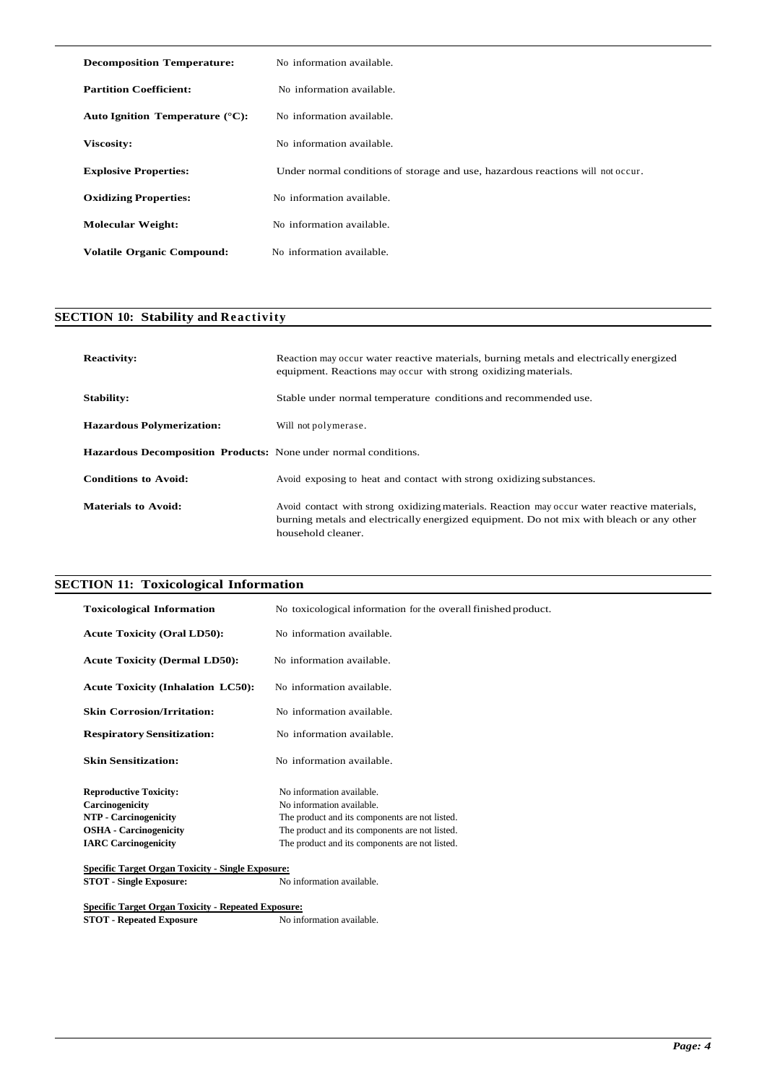| <b>Decomposition Temperature:</b>         | No information available.                                                       |
|-------------------------------------------|---------------------------------------------------------------------------------|
| <b>Partition Coefficient:</b>             | No information available.                                                       |
| Auto Ignition Temperature $(^{\circ}C)$ : | No information available.                                                       |
| Viscosity:                                | No information available.                                                       |
| <b>Explosive Properties:</b>              | Under normal conditions of storage and use, hazardous reactions will not occur. |
| <b>Oxidizing Properties:</b>              | No information available.                                                       |
| <b>Molecular Weight:</b>                  | No information available.                                                       |
| <b>Volatile Organic Compound:</b>         | No information available.                                                       |

## **SECTION 10: Stability and Reactivity**

| <b>Reactivity:</b>                                              | Reaction may occur water reactive materials, burning metals and electrically energized<br>equipment. Reactions may occur with strong oxidizing materials.                                                     |
|-----------------------------------------------------------------|---------------------------------------------------------------------------------------------------------------------------------------------------------------------------------------------------------------|
| Stability:                                                      | Stable under normal temperature conditions and recommended use.                                                                                                                                               |
| <b>Hazardous Polymerization:</b>                                | Will not polymerase.                                                                                                                                                                                          |
| Hazardous Decomposition Products: None under normal conditions. |                                                                                                                                                                                                               |
| <b>Conditions to Avoid:</b>                                     | Avoid exposing to heat and contact with strong oxidizing substances.                                                                                                                                          |
| <b>Materials to Avoid:</b>                                      | Avoid contact with strong oxidizing materials. Reaction may occur water reactive materials,<br>burning metals and electrically energized equipment. Do not mix with bleach or any other<br>household cleaner. |

## **SECTION 11: Toxicological Information**

| <b>Toxicological Information</b>                         | No toxicological information for the overall finished product. |
|----------------------------------------------------------|----------------------------------------------------------------|
| <b>Acute Toxicity (Oral LD50):</b>                       | No information available.                                      |
| <b>Acute Toxicity (Dermal LD50):</b>                     | No information available.                                      |
| <b>Acute Toxicity (Inhalation LC50):</b>                 | No information available.                                      |
| <b>Skin Corrosion/Irritation:</b>                        | No information available.                                      |
| <b>Respiratory Sensitization:</b>                        | No information available.                                      |
| <b>Skin Sensitization:</b>                               | No information available.                                      |
| <b>Reproductive Toxicity:</b>                            | No information available.                                      |
| Carcinogenicity                                          | No information available.                                      |
| <b>NTP</b> - Carcinogenicity                             | The product and its components are not listed.                 |
| <b>OSHA</b> - Carcinogenicity                            | The product and its components are not listed.                 |
| <b>IARC</b> Carcinogenicity                              | The product and its components are not listed.                 |
| <b>Specific Target Organ Toxicity - Single Exposure:</b> |                                                                |

**STOT - Single Exposure:** No information available.

**Specific Target Organ Toxicity - Repeated Exposure:**

**STOT - Repeated Exposure** No information available.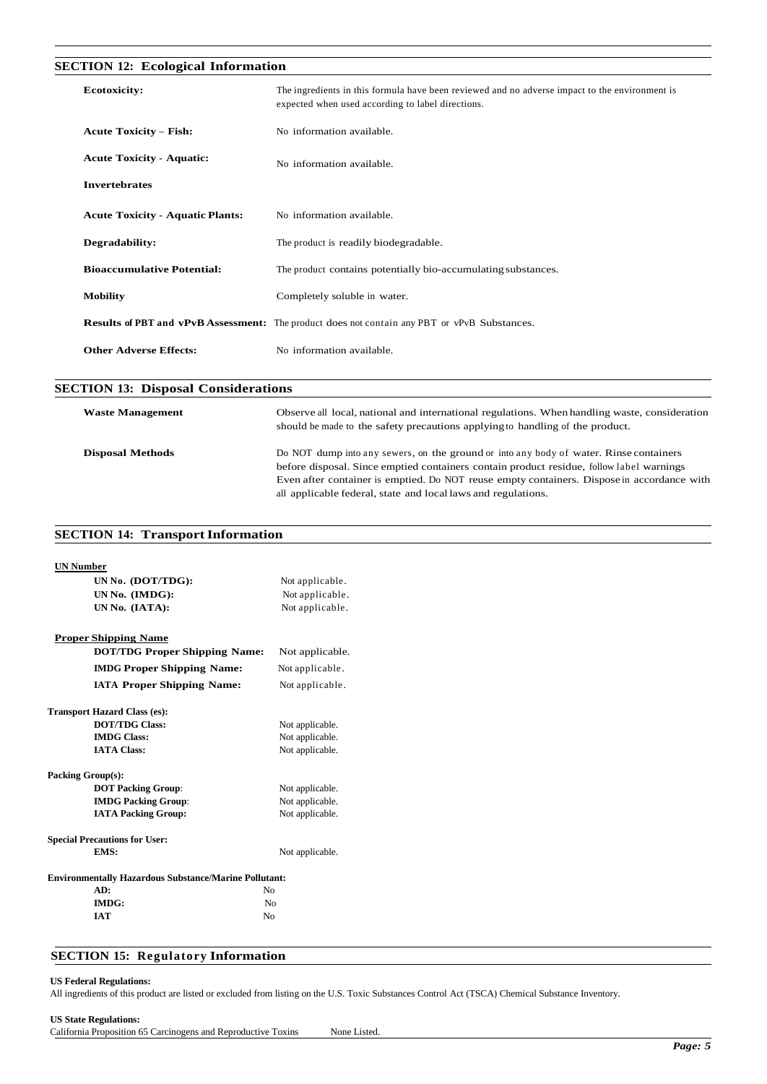### **SECTION 12: Ecological Information**

| <b>Ecotoxicity:</b>                     | The ingredients in this formula have been reviewed and no adverse impact to the environment is<br>expected when used according to label directions. |
|-----------------------------------------|-----------------------------------------------------------------------------------------------------------------------------------------------------|
| <b>Acute Toxicity - Fish:</b>           | No information available.                                                                                                                           |
| <b>Acute Toxicity - Aquatic:</b>        | No information available.                                                                                                                           |
| <b>Invertebrates</b>                    |                                                                                                                                                     |
| <b>Acute Toxicity - Aquatic Plants:</b> | No information available.                                                                                                                           |
| Degradability:                          | The product is readily biodegradable.                                                                                                               |
| <b>Bioaccumulative Potential:</b>       | The product contains potentially bio-accumulating substances.                                                                                       |
| <b>Mobility</b>                         | Completely soluble in water.                                                                                                                        |
|                                         | <b>Results of PBT and vPvB Assessment:</b> The product does not contain any PBT or vPvB Substances.                                                 |
| <b>Other Adverse Effects:</b>           | No information available.                                                                                                                           |

#### **SECTION 13: Disposal Considerations**

| <b>Waste Management</b> | Observe all local, national and international regulations. When handling waste, consideration<br>should be made to the safety precautions applying to handling of the product.                                                                                                                                                                    |
|-------------------------|---------------------------------------------------------------------------------------------------------------------------------------------------------------------------------------------------------------------------------------------------------------------------------------------------------------------------------------------------|
| <b>Disposal Methods</b> | Do NOT dump into any sewers, on the ground or into any body of water. Rinse containers<br>before disposal. Since emptied containers contain product residue, follow label warnings<br>Even after container is emptied. Do NOT reuse empty containers. Dispose in accordance with<br>all applicable federal, state and local laws and regulations. |

## **SECTION 14: Transport Information**

| <b>UN Number</b>                                             |                 |  |
|--------------------------------------------------------------|-----------------|--|
| UN No. (DOT/TDG):                                            | Not applicable. |  |
| UN No. (IMDG):                                               | Not applicable. |  |
| UN No. (IATA):                                               | Not applicable. |  |
| <b>Proper Shipping Name</b>                                  |                 |  |
| <b>DOT/TDG Proper Shipping Name:</b>                         | Not applicable. |  |
| <b>IMDG Proper Shipping Name:</b>                            | Not applicable. |  |
| <b>IATA Proper Shipping Name:</b>                            | Not applicable. |  |
| <b>Transport Hazard Class (es):</b>                          |                 |  |
| <b>DOT/TDG Class:</b>                                        | Not applicable. |  |
| <b>IMDG Class:</b>                                           | Not applicable. |  |
| <b>IATA Class:</b>                                           | Not applicable. |  |
| <b>Packing Group(s):</b>                                     |                 |  |
| <b>DOT Packing Group:</b>                                    | Not applicable. |  |
| <b>IMDG Packing Group:</b>                                   | Not applicable. |  |
| <b>IATA Packing Group:</b>                                   | Not applicable. |  |
| <b>Special Precautions for User:</b>                         |                 |  |
| EMS:                                                         | Not applicable. |  |
| <b>Environmentally Hazardous Substance/Marine Pollutant:</b> |                 |  |
| AD:                                                          | No              |  |
| <b>IMDG:</b>                                                 | N <sub>0</sub>  |  |
| <b>IAT</b><br>No                                             |                 |  |

#### **SECTION 15: Regulatory Information**

#### **US Federal Regulations:**

All ingredients of this product are listed or excluded from listing on the U.S. Toxic Substances Control Act (TSCA) Chemical Substance Inventory.

#### **US State Regulations:**